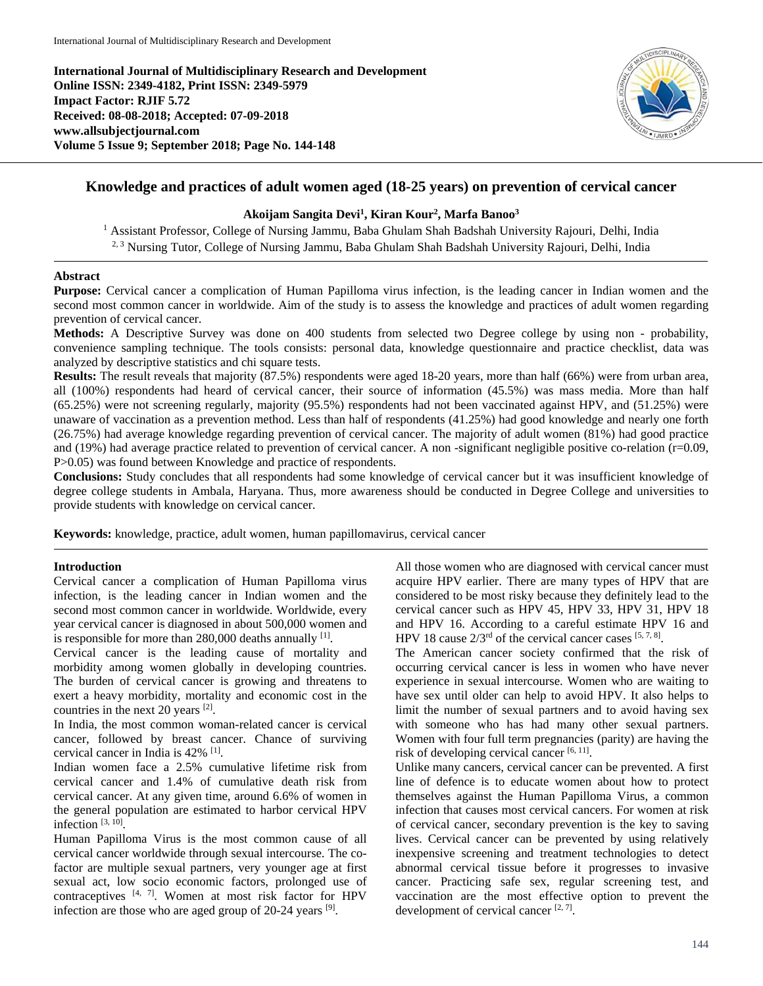**International Journal of Multidisciplinary Research and Development Online ISSN: 2349-4182, Print ISSN: 2349-5979 Impact Factor: RJIF 5.72 Received: 08-08-2018; Accepted: 07-09-2018 www.allsubjectjournal.com Volume 5 Issue 9; September 2018; Page No. 144-148**



# **Knowledge and practices of adult women aged (18-25 years) on prevention of cervical cancer**

### **Akoijam Sangita Devi1 , Kiran Kour2 , Marfa Banoo3**

<sup>1</sup> Assistant Professor, College of Nursing Jammu, Baba Ghulam Shah Badshah University Rajouri, Delhi, India <sup>2, 3</sup> Nursing Tutor, College of Nursing Jammu, Baba Ghulam Shah Badshah University Rajouri, Delhi, India

#### **Abstract**

**Purpose:** Cervical cancer a complication of Human Papilloma virus infection, is the leading cancer in Indian women and the second most common cancer in worldwide. Aim of the study is to assess the knowledge and practices of adult women regarding prevention of cervical cancer.

**Methods:** A Descriptive Survey was done on 400 students from selected two Degree college by using non - probability, convenience sampling technique. The tools consists: personal data, knowledge questionnaire and practice checklist, data was analyzed by descriptive statistics and chi square tests.

**Results:** The result reveals that majority (87.5%) respondents were aged 18-20 years, more than half (66%) were from urban area, all (100%) respondents had heard of cervical cancer, their source of information (45.5%) was mass media. More than half (65.25%) were not screening regularly, majority (95.5%) respondents had not been vaccinated against HPV, and (51.25%) were unaware of vaccination as a prevention method. Less than half of respondents (41.25%) had good knowledge and nearly one forth (26.75%) had average knowledge regarding prevention of cervical cancer. The majority of adult women (81%) had good practice and (19%) had average practice related to prevention of cervical cancer. A non -significant negligible positive co-relation (r=0.09, P>0.05) was found between Knowledge and practice of respondents.

**Conclusions:** Study concludes that all respondents had some knowledge of cervical cancer but it was insufficient knowledge of degree college students in Ambala, Haryana. Thus, more awareness should be conducted in Degree College and universities to provide students with knowledge on cervical cancer.

**Keywords:** knowledge, practice, adult women, human papillomavirus, cervical cancer

#### **Introduction**

Cervical cancer a complication of Human Papilloma virus infection, is the leading cancer in Indian women and the second most common cancer in worldwide. Worldwide, every year cervical cancer is diagnosed in about 500,000 women and is responsible for more than  $280,000$  deaths annually  $[1]$ .

Cervical cancer is the leading cause of mortality and morbidity among women globally in developing countries. The burden of cervical cancer is growing and threatens to exert a heavy morbidity, mortality and economic cost in the countries in the next 20 years [2].

In India, the most common woman-related cancer is cervical cancer, followed by breast cancer. Chance of surviving cervical cancer in India is 42% <sup>[1]</sup>.

Indian women face a 2.5% cumulative lifetime risk from cervical cancer and 1.4% of cumulative death risk from cervical cancer. At any given time, around 6.6% of women in the general population are estimated to harbor cervical HPV infection  $[3, 10]$ .

Human Papilloma Virus is the most common cause of all cervical cancer worldwide through sexual intercourse. The cofactor are multiple sexual partners, very younger age at first sexual act, low socio economic factors, prolonged use of contraceptives [4, 7]. Women at most risk factor for HPV infection are those who are aged group of  $20-24$  years  $[9]$ .

All those women who are diagnosed with cervical cancer must acquire HPV earlier. There are many types of HPV that are considered to be most risky because they definitely lead to the cervical cancer such as HPV 45, HPV 33, HPV 31, HPV 18 and HPV 16. According to a careful estimate HPV 16 and HPV 18 cause  $2/3^{rd}$  of the cervical cancer cases  $[5, 7, 8]$ .

The American cancer society confirmed that the risk of occurring cervical cancer is less in women who have never experience in sexual intercourse. Women who are waiting to have sex until older can help to avoid HPV. It also helps to limit the number of sexual partners and to avoid having sex with someone who has had many other sexual partners. Women with four full term pregnancies (parity) are having the risk of developing cervical cancer  $[6, 11]$ .

Unlike many cancers, cervical cancer can be prevented. A first line of defence is to educate women about how to protect themselves against the Human Papilloma Virus, a common infection that causes most cervical cancers. For women at risk of cervical cancer, secondary prevention is the key to saving lives. Cervical cancer can be prevented by using relatively inexpensive screening and treatment technologies to detect abnormal cervical tissue before it progresses to invasive cancer. Practicing safe sex, regular screening test, and vaccination are the most effective option to prevent the development of cervical cancer [2, 7].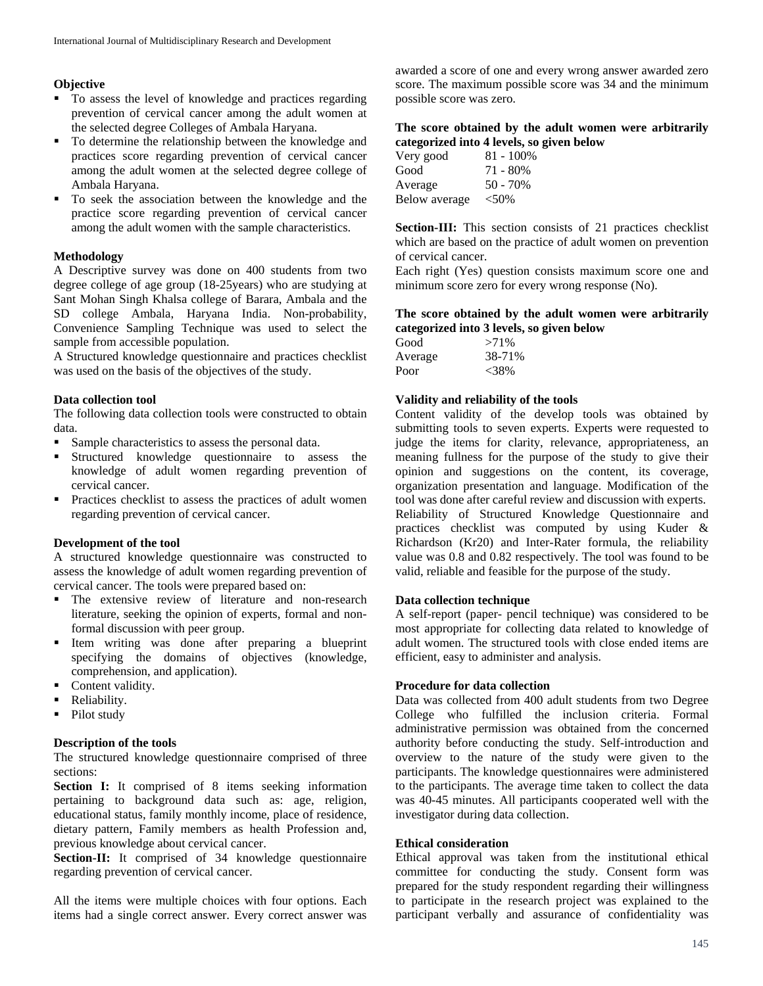## **Objective**

- To assess the level of knowledge and practices regarding prevention of cervical cancer among the adult women at the selected degree Colleges of Ambala Haryana.
- To determine the relationship between the knowledge and practices score regarding prevention of cervical cancer among the adult women at the selected degree college of Ambala Haryana.
- To seek the association between the knowledge and the practice score regarding prevention of cervical cancer among the adult women with the sample characteristics.

### **Methodology**

A Descriptive survey was done on 400 students from two degree college of age group (18-25years) who are studying at Sant Mohan Singh Khalsa college of Barara, Ambala and the SD college Ambala, Haryana India. Non-probability, Convenience Sampling Technique was used to select the sample from accessible population.

A Structured knowledge questionnaire and practices checklist was used on the basis of the objectives of the study.

#### **Data collection tool**

The following data collection tools were constructed to obtain data.

- Sample characteristics to assess the personal data.
- Structured knowledge questionnaire to assess the knowledge of adult women regarding prevention of cervical cancer.
- **Practices checklist to assess the practices of adult women** regarding prevention of cervical cancer.

## **Development of the tool**

A structured knowledge questionnaire was constructed to assess the knowledge of adult women regarding prevention of cervical cancer. The tools were prepared based on:

- **The extensive review of literature and non-research** literature, seeking the opinion of experts, formal and nonformal discussion with peer group.
- Item writing was done after preparing a blueprint specifying the domains of objectives (knowledge, comprehension, and application).
- Content validity.
- Reliability.
- Pilot study

### **Description of the tools**

The structured knowledge questionnaire comprised of three sections:

Section I: It comprised of 8 items seeking information pertaining to background data such as: age, religion, educational status, family monthly income, place of residence, dietary pattern, Family members as health Profession and, previous knowledge about cervical cancer.

**Section-II:** It comprised of 34 knowledge questionnaire regarding prevention of cervical cancer.

All the items were multiple choices with four options. Each items had a single correct answer. Every correct answer was awarded a score of one and every wrong answer awarded zero score. The maximum possible score was 34 and the minimum possible score was zero.

## **The score obtained by the adult women were arbitrarily categorized into 4 levels, so given below**

| Very good     | $81 - 100\%$ |
|---------------|--------------|
| Good          | 71 - 80%     |
| Average       | $50 - 70%$   |
| Below average | $< 50\%$     |

**Section-III:** This section consists of 21 practices checklist which are based on the practice of adult women on prevention of cervical cancer.

Each right (Yes) question consists maximum score one and minimum score zero for every wrong response (No).

### **The score obtained by the adult women were arbitrarily categorized into 3 levels, so given below**

| Good    | $>71\%$ |
|---------|---------|
| Average | 38-71%  |
| Poor    | $<38\%$ |

### **Validity and reliability of the tools**

Content validity of the develop tools was obtained by submitting tools to seven experts. Experts were requested to judge the items for clarity, relevance, appropriateness, an meaning fullness for the purpose of the study to give their opinion and suggestions on the content, its coverage, organization presentation and language. Modification of the tool was done after careful review and discussion with experts. Reliability of Structured Knowledge Questionnaire and practices checklist was computed by using Kuder & Richardson (Kr20) and Inter-Rater formula, the reliability value was 0.8 and 0.82 respectively. The tool was found to be valid, reliable and feasible for the purpose of the study.

### **Data collection technique**

A self-report (paper- pencil technique) was considered to be most appropriate for collecting data related to knowledge of adult women. The structured tools with close ended items are efficient, easy to administer and analysis.

### **Procedure for data collection**

Data was collected from 400 adult students from two Degree College who fulfilled the inclusion criteria. Formal administrative permission was obtained from the concerned authority before conducting the study. Self-introduction and overview to the nature of the study were given to the participants. The knowledge questionnaires were administered to the participants. The average time taken to collect the data was 40-45 minutes. All participants cooperated well with the investigator during data collection.

### **Ethical consideration**

Ethical approval was taken from the institutional ethical committee for conducting the study. Consent form was prepared for the study respondent regarding their willingness to participate in the research project was explained to the participant verbally and assurance of confidentiality was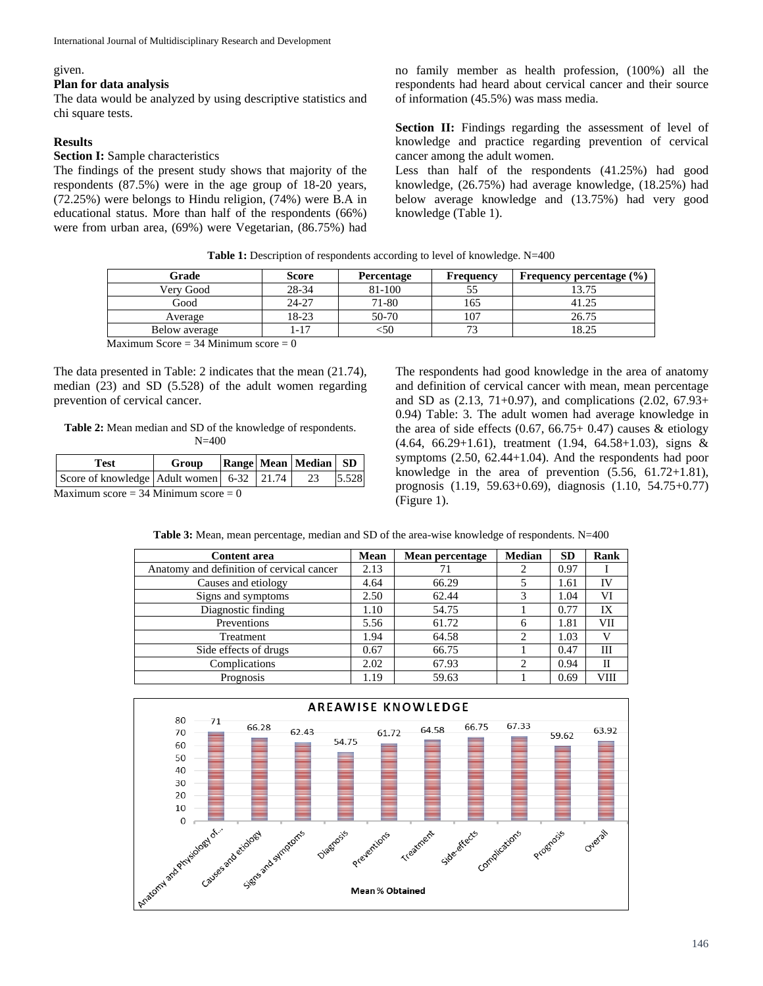#### given.

#### **Plan for data analysis**

The data would be analyzed by using descriptive statistics and chi square tests.

#### **Results**

#### **Section I:** Sample characteristics

The findings of the present study shows that majority of the respondents (87.5%) were in the age group of 18-20 years, (72.25%) were belongs to Hindu religion, (74%) were B.A in educational status. More than half of the respondents (66%) were from urban area, (69%) were Vegetarian, (86.75%) had no family member as health profession, (100%) all the respondents had heard about cervical cancer and their source of information (45.5%) was mass media.

**Section II:** Findings regarding the assessment of level of knowledge and practice regarding prevention of cervical cancer among the adult women.

Less than half of the respondents (41.25%) had good knowledge, (26.75%) had average knowledge, (18.25%) had below average knowledge and (13.75%) had very good knowledge (Table 1).

**Table 1:** Description of respondents according to level of knowledge. N=400

| Grade                                             | <b>Score</b> | <b>Percentage</b> | <b>Frequency</b> | Frequency percentage $(\% )$ |  |  |
|---------------------------------------------------|--------------|-------------------|------------------|------------------------------|--|--|
| Very Good                                         | 28-34        | 81-100            |                  |                              |  |  |
| Good                                              | 24-27        | 71-80             | 165              | 41.25                        |  |  |
| Average                                           | 18-23        | 50-70             | 107              | 26.75                        |  |  |
| Below average                                     | $1 - 17$     | د50               |                  | 18.25                        |  |  |
| $\cdots$<br>$\sim$ $\sim$ $\sim$ $\sim$<br>$\sim$ | $\sim$       |                   |                  |                              |  |  |

Maximum Score  $=$  34 Minimum score  $=$  0

The data presented in Table: 2 indicates that the mean (21.74), median (23) and SD (5.528) of the adult women regarding prevention of cervical cancer.

**Table 2:** Mean median and SD of the knowledge of respondents. N=400

| Test                                               | Group |  |  | <b>Range Mean Median SD</b> |       |
|----------------------------------------------------|-------|--|--|-----------------------------|-------|
| Score of knowledge Adult women 6-32 21.74 23       |       |  |  |                             | 5.528 |
| $M_{\rm evi}$ mum seere $= 24$ Minimum seere $= 0$ |       |  |  |                             |       |

 $Maximum score = 34 Minimum score = 0$ 

The respondents had good knowledge in the area of anatomy and definition of cervical cancer with mean, mean percentage and SD as (2.13, 71+0.97), and complications (2.02, 67.93+ 0.94) Table: 3. The adult women had average knowledge in the area of side effects  $(0.67, 66.75+ 0.47)$  causes & etiology (4.64, 66.29+1.61), treatment (1.94, 64.58+1.03), signs & symptoms (2.50, 62.44+1.04). And the respondents had poor knowledge in the area of prevention  $(5.56, 61.72+1.81)$ , prognosis (1.19, 59.63+0.69), diagnosis (1.10, 54.75+0.77) (Figure 1).

| <b>Table 3:</b> Mean, mean percentage, median and SD of the area-wise knowledge of respondents. N=400 |  |
|-------------------------------------------------------------------------------------------------------|--|
|                                                                                                       |  |

| <b>Content area</b>                       | <b>Mean</b> | Mean percentage | <b>Median</b>  | <b>SD</b> | Rank |
|-------------------------------------------|-------------|-----------------|----------------|-----------|------|
| Anatomy and definition of cervical cancer | 2.13        | 71              |                | 0.97      |      |
| Causes and etiology                       | 4.64        | 66.29           |                | 1.61      | IV   |
| Signs and symptoms                        | 2.50        | 62.44           |                | 1.04      | VI   |
| Diagnostic finding                        | 1.10        | 54.75           |                | 0.77      | IX   |
| Preventions                               | 5.56        | 61.72           | 6              | 1.81      | VII  |
| Treatment                                 | 1.94        | 64.58           | $\overline{c}$ | 1.03      |      |
| Side effects of drugs                     | 0.67        | 66.75           |                | 0.47      | Ш    |
| Complications                             | 2.02        | 67.93           | ာ              | 0.94      | П    |
| Prognosis                                 | 1.19        | 59.63           |                | 0.69      | VIII |

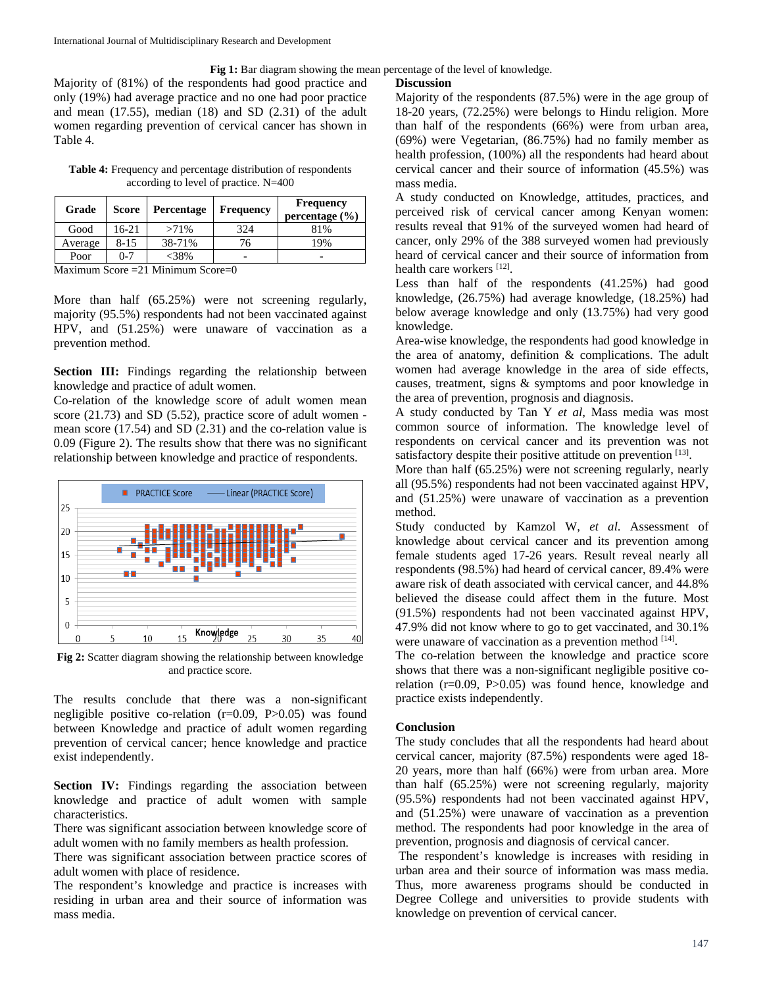**Fig 1:** Bar diagram showing the mean percentage of the level of knowledge.

Majority of (81%) of the respondents had good practice and only (19%) had average practice and no one had poor practice and mean (17.55), median (18) and SD (2.31) of the adult women regarding prevention of cervical cancer has shown in Table 4.

**Table 4:** Frequency and percentage distribution of respondents according to level of practice. N=400

| Grade                                    | <b>Score</b> | Percentage | <b>Frequency</b> | <b>Frequency</b><br>percentage $(\% )$ |
|------------------------------------------|--------------|------------|------------------|----------------------------------------|
| Good                                     | 16-21        | $>71\%$    | 324              | 81%                                    |
| Average                                  | $8 - 15$     | 38-71%     | 76               | 19%                                    |
| Poor                                     | $0 - 7$      | $<$ 38%    |                  |                                        |
| Maximum $Score = 21$ Minimum $Score = 0$ |              |            |                  |                                        |

laximum Score =21 Minimum Score=0

More than half (65.25%) were not screening regularly, majority (95.5%) respondents had not been vaccinated against HPV, and (51.25%) were unaware of vaccination as a prevention method.

**Section III:** Findings regarding the relationship between knowledge and practice of adult women.

Co-relation of the knowledge score of adult women mean score (21.73) and SD (5.52), practice score of adult women mean score (17.54) and SD (2.31) and the co-relation value is 0.09 (Figure 2). The results show that there was no significant relationship between knowledge and practice of respondents.



**Fig 2:** Scatter diagram showing the relationship between knowledge and practice score.

The results conclude that there was a non-significant negligible positive co-relation (r=0.09, P>0.05) was found between Knowledge and practice of adult women regarding prevention of cervical cancer; hence knowledge and practice exist independently.

**Section IV:** Findings regarding the association between knowledge and practice of adult women with sample characteristics.

There was significant association between knowledge score of adult women with no family members as health profession.

There was significant association between practice scores of adult women with place of residence.

The respondent's knowledge and practice is increases with residing in urban area and their source of information was mass media.

### **Discussion**

Majority of the respondents (87.5%) were in the age group of 18-20 years, (72.25%) were belongs to Hindu religion. More than half of the respondents (66%) were from urban area, (69%) were Vegetarian, (86.75%) had no family member as health profession, (100%) all the respondents had heard about cervical cancer and their source of information (45.5%) was mass media.

A study conducted on Knowledge, attitudes, practices, and perceived risk of cervical cancer among Kenyan women: results reveal that 91% of the surveyed women had heard of cancer, only 29% of the 388 surveyed women had previously heard of cervical cancer and their source of information from health care workers [12].

Less than half of the respondents (41.25%) had good knowledge, (26.75%) had average knowledge, (18.25%) had below average knowledge and only (13.75%) had very good knowledge.

Area-wise knowledge, the respondents had good knowledge in the area of anatomy, definition & complications. The adult women had average knowledge in the area of side effects, causes, treatment, signs & symptoms and poor knowledge in the area of prevention, prognosis and diagnosis.

A study conducted by Tan Y *et al*, Mass media was most common source of information. The knowledge level of respondents on cervical cancer and its prevention was not satisfactory despite their positive attitude on prevention [13].

More than half (65.25%) were not screening regularly, nearly all (95.5%) respondents had not been vaccinated against HPV, and (51.25%) were unaware of vaccination as a prevention method.

Study conducted by Kamzol W, *et al*. Assessment of knowledge about cervical cancer and its prevention among female students aged 17-26 years. Result reveal nearly all respondents (98.5%) had heard of cervical cancer, 89.4% were aware risk of death associated with cervical cancer, and 44.8% believed the disease could affect them in the future. Most (91.5%) respondents had not been vaccinated against HPV, 47.9% did not know where to go to get vaccinated, and 30.1% were unaware of vaccination as a prevention method [14].

The co-relation between the knowledge and practice score shows that there was a non-significant negligible positive corelation (r=0.09, P>0.05) was found hence, knowledge and practice exists independently.

### **Conclusion**

The study concludes that all the respondents had heard about cervical cancer, majority (87.5%) respondents were aged 18- 20 years, more than half (66%) were from urban area. More than half (65.25%) were not screening regularly, majority (95.5%) respondents had not been vaccinated against HPV, and (51.25%) were unaware of vaccination as a prevention method. The respondents had poor knowledge in the area of prevention, prognosis and diagnosis of cervical cancer.

The respondent's knowledge is increases with residing in urban area and their source of information was mass media. Thus, more awareness programs should be conducted in Degree College and universities to provide students with knowledge on prevention of cervical cancer.